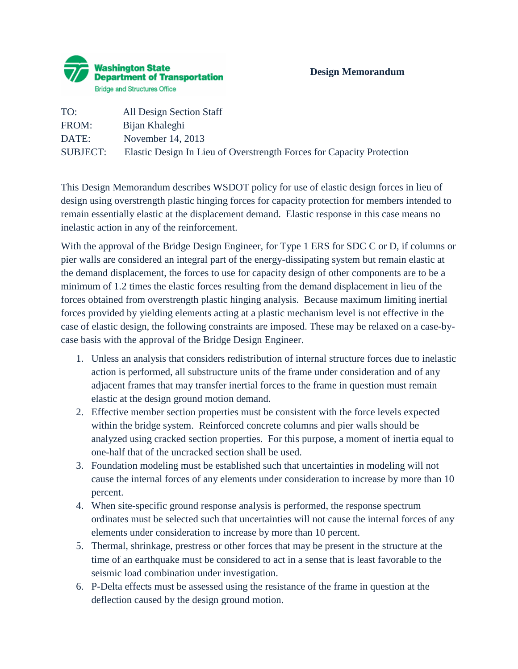| TO:             | All Design Section Staff                                              |
|-----------------|-----------------------------------------------------------------------|
| FROM:           | Bijan Khaleghi                                                        |
| DATE:           | November 14, 2013                                                     |
| <b>SUBJECT:</b> | Elastic Design In Lieu of Overstrength Forces for Capacity Protection |

This Design Memorandum describes WSDOT policy for use of elastic design forces in lieu of design using overstrength plastic hinging forces for capacity protection for members intended to remain essentially elastic at the displacement demand. Elastic response in this case means no inelastic action in any of the reinforcement.

With the approval of the Bridge Design Engineer, for Type 1 ERS for SDC C or D, if columns or pier walls are considered an integral part of the energy-dissipating system but remain elastic at the demand displacement, the forces to use for capacity design of other components are to be a minimum of 1.2 times the elastic forces resulting from the demand displacement in lieu of the forces obtained from overstrength plastic hinging analysis. Because maximum limiting inertial forces provided by yielding elements acting at a plastic mechanism level is not effective in the case of elastic design, the following constraints are imposed. These may be relaxed on a case-bycase basis with the approval of the Bridge Design Engineer.

- 1. Unless an analysis that considers redistribution of internal structure forces due to inelastic action is performed, all substructure units of the frame under consideration and of any adjacent frames that may transfer inertial forces to the frame in question must remain elastic at the design ground motion demand.
- 2. Effective member section properties must be consistent with the force levels expected within the bridge system. Reinforced concrete columns and pier walls should be analyzed using cracked section properties. For this purpose, a moment of inertia equal to one-half that of the uncracked section shall be used.
- 3. Foundation modeling must be established such that uncertainties in modeling will not cause the internal forces of any elements under consideration to increase by more than 10 percent.
- 4. When site-specific ground response analysis is performed, the response spectrum ordinates must be selected such that uncertainties will not cause the internal forces of any elements under consideration to increase by more than 10 percent.
- 5. Thermal, shrinkage, prestress or other forces that may be present in the structure at the time of an earthquake must be considered to act in a sense that is least favorable to the seismic load combination under investigation.
- 6. P-Delta effects must be assessed using the resistance of the frame in question at the deflection caused by the design ground motion.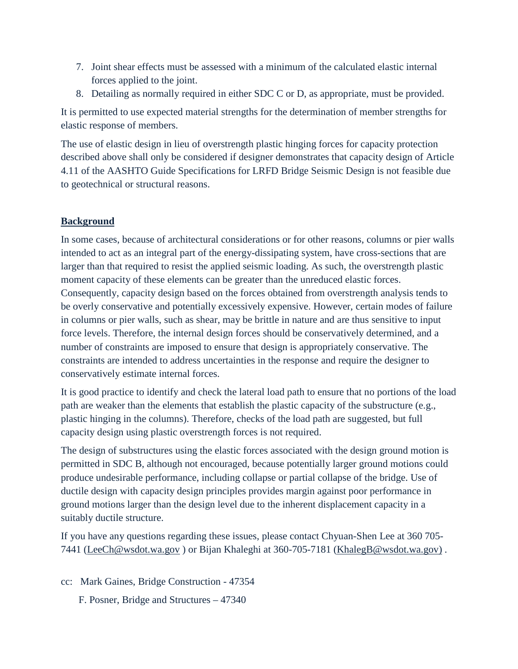- 7. Joint shear effects must be assessed with a minimum of the calculated elastic internal forces applied to the joint.
- 8. Detailing as normally required in either SDC C or D, as appropriate, must be provided.

It is permitted to use expected material strengths for the determination of member strengths for elastic response of members.

The use of elastic design in lieu of overstrength plastic hinging forces for capacity protection described above shall only be considered if designer demonstrates that capacity design of Article 4.11 of the AASHTO Guide Specifications for LRFD Bridge Seismic Design is not feasible due to geotechnical or structural reasons.

## **Background**

In some cases, because of architectural considerations or for other reasons, columns or pier walls intended to act as an integral part of the energy-dissipating system, have cross-sections that are larger than that required to resist the applied seismic loading. As such, the overstrength plastic moment capacity of these elements can be greater than the unreduced elastic forces. Consequently, capacity design based on the forces obtained from overstrength analysis tends to be overly conservative and potentially excessively expensive. However, certain modes of failure in columns or pier walls, such as shear, may be brittle in nature and are thus sensitive to input force levels. Therefore, the internal design forces should be conservatively determined, and a number of constraints are imposed to ensure that design is appropriately conservative. The constraints are intended to address uncertainties in the response and require the designer to conservatively estimate internal forces.

It is good practice to identify and check the lateral load path to ensure that no portions of the load path are weaker than the elements that establish the plastic capacity of the substructure (e.g., plastic hinging in the columns). Therefore, checks of the load path are suggested, but full capacity design using plastic overstrength forces is not required.

The design of substructures using the elastic forces associated with the design ground motion is permitted in SDC B, although not encouraged, because potentially larger ground motions could produce undesirable performance, including collapse or partial collapse of the bridge. Use of ductile design with capacity design principles provides margin against poor performance in ground motions larger than the design level due to the inherent displacement capacity in a suitably ductile structure.

If you have any questions regarding these issues, please contact Chyuan-Shen Lee at 360 705- 7441 [\(LeeCh@wsdot.wa.gov](mailto:LeeCh@wsdot.wa.gov) ) or Bijan Khaleghi at 360-705-7181 [\(KhalegB@wsdot.wa.gov\)](mailto:KhalegB@wsdot.wa.gov) .

- cc: Mark Gaines, Bridge Construction 47354
	- F. Posner, Bridge and Structures 47340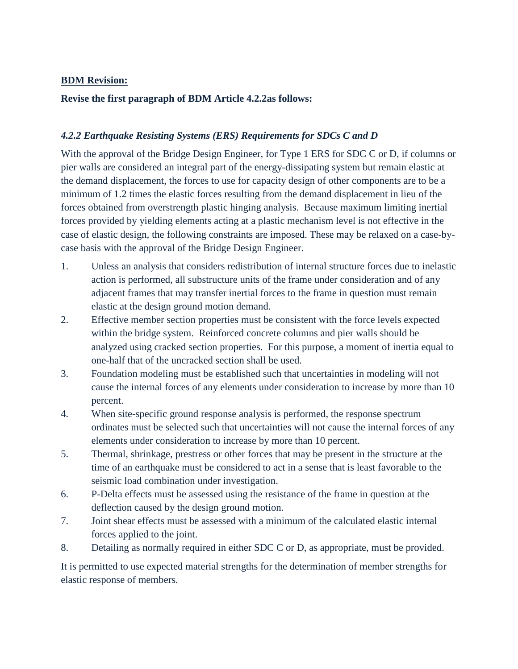## **BDM Revision:**

## **Revise the first paragraph of BDM Article 4.2.2as follows:**

## *4.2.2 Earthquake Resisting Systems (ERS) Requirements for SDCs C and D*

With the approval of the Bridge Design Engineer, for Type 1 ERS for SDC C or D, if columns or pier walls are considered an integral part of the energy-dissipating system but remain elastic at the demand displacement, the forces to use for capacity design of other components are to be a minimum of 1.2 times the elastic forces resulting from the demand displacement in lieu of the forces obtained from overstrength plastic hinging analysis. Because maximum limiting inertial forces provided by yielding elements acting at a plastic mechanism level is not effective in the case of elastic design, the following constraints are imposed. These may be relaxed on a case-bycase basis with the approval of the Bridge Design Engineer.

- 1. Unless an analysis that considers redistribution of internal structure forces due to inelastic action is performed, all substructure units of the frame under consideration and of any adjacent frames that may transfer inertial forces to the frame in question must remain elastic at the design ground motion demand.
- 2. Effective member section properties must be consistent with the force levels expected within the bridge system. Reinforced concrete columns and pier walls should be analyzed using cracked section properties. For this purpose, a moment of inertia equal to one-half that of the uncracked section shall be used.
- 3. Foundation modeling must be established such that uncertainties in modeling will not cause the internal forces of any elements under consideration to increase by more than 10 percent.
- 4. When site-specific ground response analysis is performed, the response spectrum ordinates must be selected such that uncertainties will not cause the internal forces of any elements under consideration to increase by more than 10 percent.
- 5. Thermal, shrinkage, prestress or other forces that may be present in the structure at the time of an earthquake must be considered to act in a sense that is least favorable to the seismic load combination under investigation.
- 6. P-Delta effects must be assessed using the resistance of the frame in question at the deflection caused by the design ground motion.
- 7. Joint shear effects must be assessed with a minimum of the calculated elastic internal forces applied to the joint.
- 8. Detailing as normally required in either SDC C or D, as appropriate, must be provided.

It is permitted to use expected material strengths for the determination of member strengths for elastic response of members.